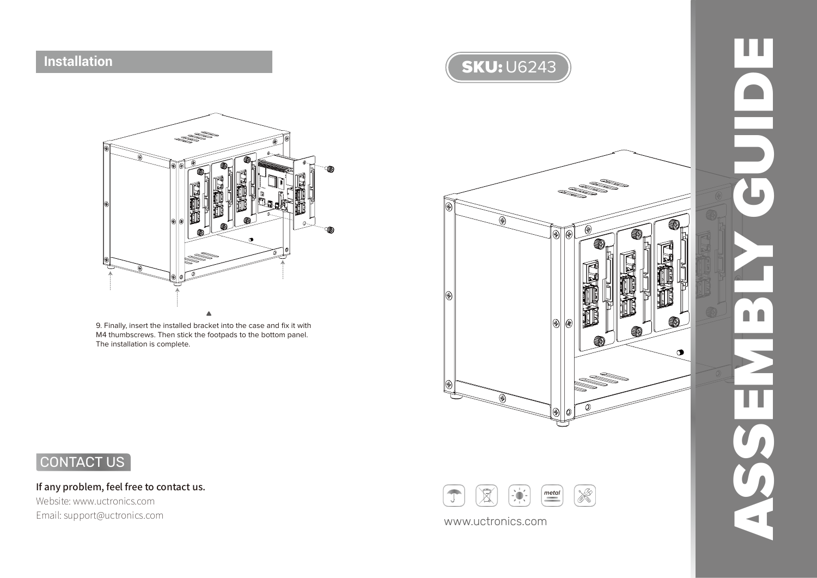## **Installation**



9. Finally, insert the installed bracket into the case and fix it with M4 thumbscrews. Then stick the footpads to the bottom panel. The installation is complete.



ASSEMBLY GUIDE ш  $\Box$  $\Box$  $\blacksquare$ 

CONTACT US

If any problem, feel free to contact us. Website: www.uctronics.com

Email: support@uctronics.com www.uctronics.com